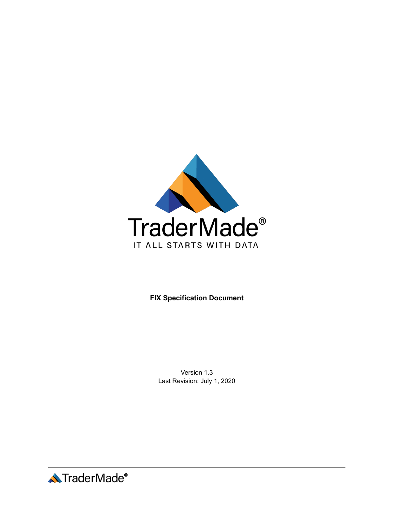

**FIX Specification Document**

Version 1.3 Last Revision: July 1, 2020

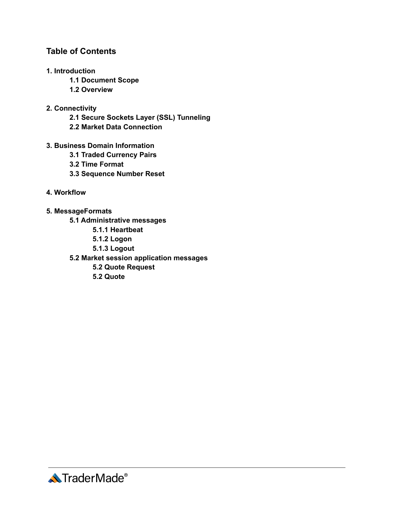## **Table of Contents**

- **1. Introduction**
	- **1.1 Document Scope**
	- **1.2 Overview**

## **2. Connectivity**

- **2.1 Secure Sockets Layer (SSL) Tunneling**
- **2.2 Market Data Connection**
- **3. Business Domain Information**
	- **3.1 Traded Currency Pairs**
	- **3.2 Time Format**
	- **3.3 Sequence Number Reset**
- **4. Workflow**
- **5. MessageFormats**
	- **5.1 Administrative messages**
		- **5.1.1 Heartbeat**
		- **5.1.2 Logon**
		- **5.1.3 Logout**
	- **5.2 Market session application messages**
		- **5.2 Quote Request**
		- **5.2 Quote**

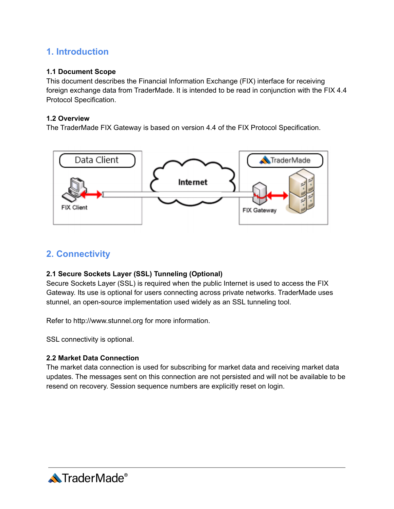# **1. Introduction**

### **1.1 Document Scope**

This document describes the Financial Information Exchange (FIX) interface for receiving foreign exchange data from TraderMade. It is intended to be read in conjunction with the FIX 4.4 Protocol Specification.

### **1.2 Overview**

The TraderMade FIX Gateway is based on version 4.4 of the FIX Protocol Specification.



## **2. Connectivity**

### **2.1 Secure Sockets Layer (SSL) Tunneling (Optional)**

Secure Sockets Layer (SSL) is required when the public Internet is used to access the FIX Gateway. Its use is optional for users connecting across private networks. TraderMade uses stunnel, an open-source implementation used widely as an SSL tunneling tool.

Refer to http://www.stunnel.org for more information.

SSL connectivity is optional.

### **2.2 Market Data Connection**

The market data connection is used for subscribing for market data and receiving market data updates. The messages sent on this connection are not persisted and will not be available to be resend on recovery. Session sequence numbers are explicitly reset on login.

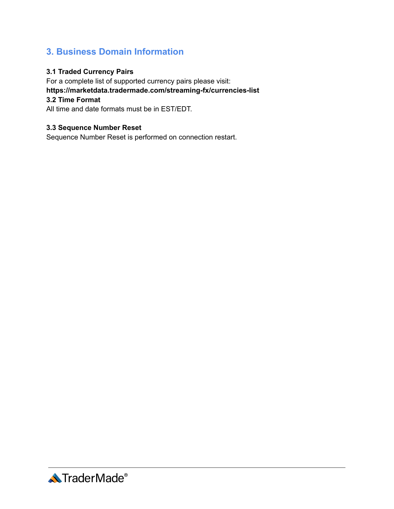# **3. Business Domain Information**

## **3.1 Traded Currency Pairs**

For a complete list of supported currency pairs please visit: **https://marketdata.tradermade.com/streaming-fx/currencies-list 3.2 Time Format** All time and date formats must be in EST/EDT.

### **3.3 Sequence Number Reset**

Sequence Number Reset is performed on connection restart.

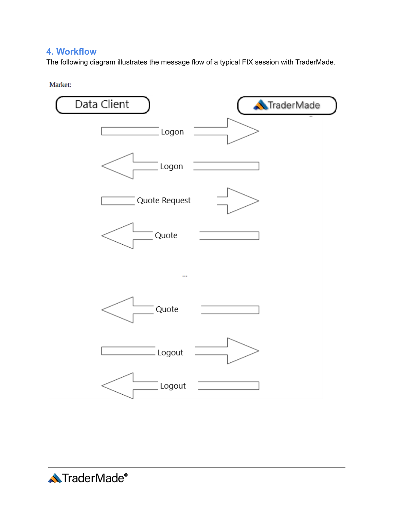# **4. Workflow**

The following diagram illustrates the message flow of a typical FIX session with TraderMade.

Market:



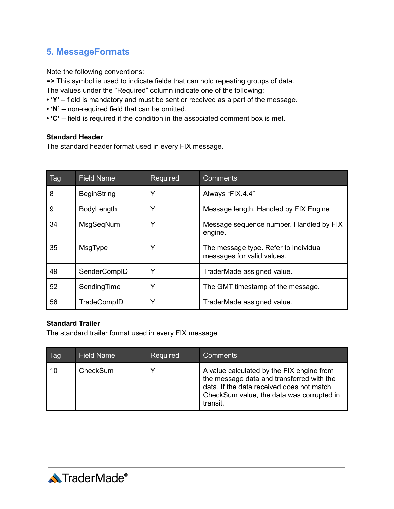# **5. MessageFormats**

Note the following conventions:

**=>** This symbol is used to indicate fields that can hold repeating groups of data. The values under the "Required" column indicate one of the following:

- 
- **• 'Y'** field is mandatory and must be sent or received as a part of the message.
- **• 'N'** non-required field that can be omitted.
- **• 'C'** field is required if the condition in the associated comment box is met.

### **Standard Header**

The standard header format used in every FIX message.

| Tag | <b>Field Name</b>  | Required | <b>Comments</b>                                                     |
|-----|--------------------|----------|---------------------------------------------------------------------|
| 8   | <b>BeginString</b> | Υ        | Always "FIX.4.4"                                                    |
| 9   | <b>BodyLength</b>  | Y        | Message length. Handled by FIX Engine                               |
| 34  | MsgSeqNum          | Y        | Message sequence number. Handled by FIX<br>engine.                  |
| 35  | MsgType            | Y        | The message type. Refer to individual<br>messages for valid values. |
| 49  | SenderCompID       | Y        | TraderMade assigned value.                                          |
| 52  | SendingTime        | Y        | The GMT timestamp of the message.                                   |
| 56  | TradeCompID        | Y        | TraderMade assigned value.                                          |

#### **Standard Trailer**

The standard trailer format used in every FIX message

| Tag | <b>Field Name</b> | Required     | Comments                                                                                                                                                                                     |
|-----|-------------------|--------------|----------------------------------------------------------------------------------------------------------------------------------------------------------------------------------------------|
| 10  | CheckSum          | $\checkmark$ | A value calculated by the FIX engine from<br>the message data and transferred with the<br>data. If the data received does not match<br>CheckSum value, the data was corrupted in<br>transit. |

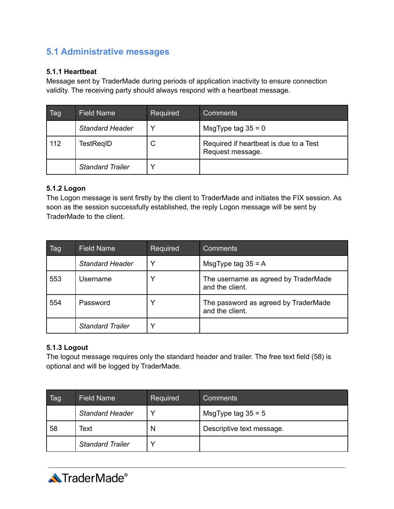# **5.1 Administrative messages**

### **5.1.1 Heartbeat**

Message sent by TraderMade during periods of application inactivity to ensure connection validity. The receiving party should always respond with a heartbeat message.

| Tag | <b>Field Name</b>       | Required | Comments                                                   |
|-----|-------------------------|----------|------------------------------------------------------------|
|     | <b>Standard Header</b>  | v        | MsgType tag $35 = 0$                                       |
| 112 | TestRegID               | C        | Required if heartbeat is due to a Test<br>Request message. |
|     | <b>Standard Trailer</b> |          |                                                            |

### **5.1.2 Logon**

The Logon message is sent firstly by the client to TraderMade and initiates the FIX session. As soon as the session successfully established, the reply Logon message will be sent by TraderMade to the client.

| Tag | <b>Field Name</b>       | Required | Comments                                                |
|-----|-------------------------|----------|---------------------------------------------------------|
|     | <b>Standard Header</b>  | Y        | MsgType tag $35 = A$                                    |
| 553 | Username                | Y        | The username as agreed by TraderMade<br>and the client. |
| 554 | Password                |          | The password as agreed by TraderMade<br>and the client. |
|     | <b>Standard Trailer</b> | Y        |                                                         |

### **5.1.3 Logout**

The logout message requires only the standard header and trailer. The free text field (58) is optional and will be logged by TraderMade.

| Tag | <b>Field Name</b>       | Required | 'Comments                 |
|-----|-------------------------|----------|---------------------------|
|     | <b>Standard Header</b>  | ν        | MsgType tag $35 = 5$      |
| 58  | Text                    | N        | Descriptive text message. |
|     | <b>Standard Trailer</b> | ν        |                           |